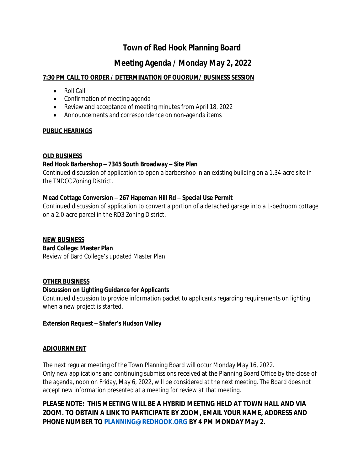# **Town of Red Hook Planning Board**

# **Meeting Agenda / Monday May 2, 2022**

### **7:30 PM CALL TO ORDER / DETERMINATION OF QUORUM/ BUSINESS SESSION**

- Roll Call
- Confirmation of meeting agenda
- Review and acceptance of meeting minutes from April 18, 2022
- Announcements and correspondence on non-agenda items

#### **PUBLIC HEARINGS**

#### **OLD BUSINESS**

### **Red Hook Barbershop – 7345 South Broadway – Site Plan**

Continued discussion of application to open a barbershop in an existing building on a 1.34-acre site in the TNDCC Zoning District.

#### **Mead Cottage Conversion – 267 Hapeman Hill Rd – Special Use Permit**

Continued discussion of application to convert a portion of a detached garage into a 1-bedroom cottage on a 2.0-acre parcel in the RD3 Zoning District.

**NEW BUSINESS**

#### **Bard College: Master Plan**

Review of Bard College's updated Master Plan.

#### **OTHER BUSINESS**

#### **Discussion on Lighting Guidance for Applicants**

Continued discussion to provide information packet to applicants regarding requirements on lighting when a new project is started.

#### **Extension Request – Shafer's Hudson Valley**

#### **ADJOURNMENT**

The next regular meeting of the Town Planning Board will occur Monday May 16, 2022. Only new applications and continuing submissions received at the Planning Board Office by the close of the agenda, noon on Friday, May 6, 2022, will be considered at the next meeting. *The Board does not accept new information presented at a meeting for review at that meeting.*

*PLEASE NOTE: THIS MEETING WILL BE A HYBRID MEETING HELD AT TOWN HALL AND VIA ZOOM. TO OBTAIN A LINK TO PARTICIPATE BY ZOOM, EMAIL YOUR NAME, ADDRESS AND PHONE NUMBER TO [PLANNING@REDHOOK.ORG](mailto:PLANNING@REDHOOK.ORG) BY 4 PM MONDAY May 2.*